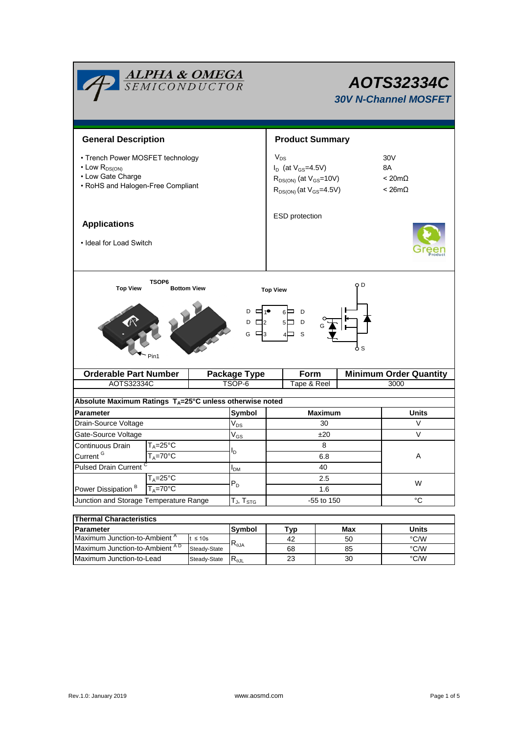| <b>ALPHA &amp; OMEGA</b><br>SEMICONDUCTOR                                                                                                           |                              | AOTS32334C<br><b>30V N-Channel MOSFET</b> |                          |                                                                                                                |          |               |                                                                 |  |  |  |  |
|-----------------------------------------------------------------------------------------------------------------------------------------------------|------------------------------|-------------------------------------------|--------------------------|----------------------------------------------------------------------------------------------------------------|----------|---------------|-----------------------------------------------------------------|--|--|--|--|
| <b>General Description</b>                                                                                                                          |                              | <b>Product Summary</b>                    |                          |                                                                                                                |          |               |                                                                 |  |  |  |  |
| • Trench Power MOSFET technology<br>$\cdot$ Low $R_{DS(ON)}$<br>• Low Gate Charge<br>• RoHS and Halogen-Free Compliant                              |                              |                                           |                          | $V_{DS}$<br>$I_D$ (at $V_{GS} = 4.5V$ )<br>$R_{DS(ON)}$ (at $V_{GS}$ =10V)<br>$R_{DS(ON)}$ (at $V_{GS}$ =4.5V) |          |               | 30 <sub>V</sub><br>8A<br>$< 20 \text{m}\Omega$<br>$< 26m\Omega$ |  |  |  |  |
| <b>Applications</b><br>• Ideal for Load Switch                                                                                                      |                              |                                           |                          | ESD protection                                                                                                 |          |               |                                                                 |  |  |  |  |
| TSOP6<br>O D<br><b>Top View</b><br><b>Bottom View</b><br><b>Top View</b><br>D<br>□1●<br>6⊟ D<br>$5\Box$ D<br>$D \Box 2$<br>с ⊟з<br>S<br>6 S<br>Pin1 |                              |                                           |                          |                                                                                                                |          |               |                                                                 |  |  |  |  |
|                                                                                                                                                     | <b>Orderable Part Number</b> |                                           | <b>Package Type</b>      | Form                                                                                                           |          |               | <b>Minimum Order Quantity</b>                                   |  |  |  |  |
| AOTS32334C                                                                                                                                          |                              | TSOP-6                                    | Tape & Reel              |                                                                                                                | 3000     |               |                                                                 |  |  |  |  |
|                                                                                                                                                     |                              |                                           |                          |                                                                                                                |          |               |                                                                 |  |  |  |  |
| Absolute Maximum Ratings $T_A = 25^\circ C$ unless otherwise noted                                                                                  |                              |                                           |                          |                                                                                                                |          |               |                                                                 |  |  |  |  |
| <b>Parameter</b>                                                                                                                                    |                              |                                           | Symbol                   | <b>Maximum</b><br>30                                                                                           |          |               | Units<br>V                                                      |  |  |  |  |
| Drain-Source Voltage                                                                                                                                |                              |                                           | $V_{DS}$<br>$\rm V_{GS}$ | ±20                                                                                                            |          |               | V                                                               |  |  |  |  |
|                                                                                                                                                     | Gate-Source Voltage          |                                           |                          | 8                                                                                                              |          |               |                                                                 |  |  |  |  |
| T <sub>A</sub> =25°C<br>Continuous Drain<br>Current $G$                                                                                             |                              |                                           | I <sub>D</sub>           |                                                                                                                |          |               | A                                                               |  |  |  |  |
| $T_A = 70^{\circ}$ C<br><b>Pulsed Drain Current</b>                                                                                                 |                              |                                           |                          | 6.8<br>40                                                                                                      |          |               |                                                                 |  |  |  |  |
| $T_A = 25^\circ C$<br>Power Dissipation <sup>B</sup><br>$T_A = 70^\circ C$                                                                          |                              |                                           | $I_{DM}$                 | 2.5                                                                                                            |          | W             |                                                                 |  |  |  |  |
|                                                                                                                                                     |                              |                                           | $\mathsf{P}_\mathsf{D}$  | 1.6                                                                                                            |          |               |                                                                 |  |  |  |  |
| Junction and Storage Temperature Range                                                                                                              |                              |                                           | $T_J$ , $T_{STG}$        | -55 to 150                                                                                                     |          |               | $^{\circ}C$                                                     |  |  |  |  |
|                                                                                                                                                     |                              |                                           |                          |                                                                                                                |          |               |                                                                 |  |  |  |  |
| <b>Thermal Characteristics</b>                                                                                                                      |                              |                                           |                          |                                                                                                                |          |               |                                                                 |  |  |  |  |
| <b>Parameter</b>                                                                                                                                    |                              |                                           | Symbol                   | Typ                                                                                                            |          | Max           | <b>Units</b>                                                    |  |  |  |  |
| Maximum Junction-to-Ambient <sup>A</sup><br>$t \leq 10s$<br>Maximum Junction-to-Ambient AD<br>Steady-State                                          |                              | $\mathsf{R}_{\theta\mathsf{JA}}$          | 42                       |                                                                                                                | 50       | °C/W<br>°C/W  |                                                                 |  |  |  |  |
| Maximum Junction-to-Lead                                                                                                                            |                              |                                           | 68<br>23                 |                                                                                                                | 85<br>30 | $\degree$ C/W |                                                                 |  |  |  |  |
| Steady-State                                                                                                                                        |                              | $R_{\theta \text{JL}}$                    |                          |                                                                                                                |          |               |                                                                 |  |  |  |  |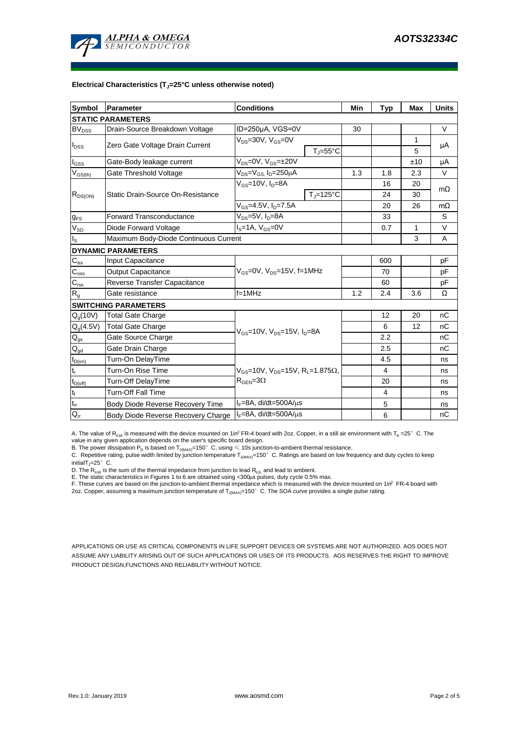

#### **Electrical Characteristics (TJ=25°C unless otherwise noted)**

| Symbol                     | Parameter                                                                         | <b>Conditions</b>                                              | Min | <b>Typ</b>     | Max | <b>Units</b> |  |  |  |  |  |  |
|----------------------------|-----------------------------------------------------------------------------------|----------------------------------------------------------------|-----|----------------|-----|--------------|--|--|--|--|--|--|
| <b>STATIC PARAMETERS</b>   |                                                                                   |                                                                |     |                |     |              |  |  |  |  |  |  |
| $BV_{DSS}$                 | Drain-Source Breakdown Voltage                                                    | ID=250µA, VGS=0V                                               | 30  |                |     | $\vee$       |  |  |  |  |  |  |
| $I_{DSS}$                  | Zero Gate Voltage Drain Current                                                   | $V_{DS}$ =30V, $V_{GS}$ =0V                                    |     |                | 1   | μA           |  |  |  |  |  |  |
|                            |                                                                                   | $T_J = 55^{\circ}C$                                            |     |                | 5   |              |  |  |  |  |  |  |
| $I_{GSS}$                  | Gate-Body leakage current                                                         | $V_{DS} = 0V$ , $V_{GS} = \pm 20V$                             |     |                | ±10 | μA           |  |  |  |  |  |  |
| $V_{GS(th)}$               | V <sub>DS</sub> =V <sub>GS.</sub> I <sub>D</sub> =250µA<br>Gate Threshold Voltage |                                                                | 1.3 | 1.8            | 2.3 | V            |  |  |  |  |  |  |
| $R_{DS(ON)}$               |                                                                                   | $V_{GS}$ =10V, $I_D$ =8A                                       |     | 16             | 20  | $m\Omega$    |  |  |  |  |  |  |
|                            | Static Drain-Source On-Resistance                                                 | $T_i = 125$ °C                                                 |     | 24             | 30  |              |  |  |  |  |  |  |
|                            |                                                                                   | $V_{GS}$ =4.5V, $I_{D}$ =7.5A                                  |     | 20             | 26  | $m\Omega$    |  |  |  |  |  |  |
| $g_{FS}$                   | <b>Forward Transconductance</b>                                                   | $V_{DS} = 5V$ , $I_D = 8A$                                     |     | 33             |     | S            |  |  |  |  |  |  |
| $V_{SD}$                   | Diode Forward Voltage                                                             | $Is=1A, VGS=0V$                                                |     | 0.7            | 1   | V            |  |  |  |  |  |  |
| $\mathsf{I}_\mathsf{S}$    | Maximum Body-Diode Continuous Current                                             |                                                                |     | 3              | A   |              |  |  |  |  |  |  |
|                            | <b>DYNAMIC PARAMETERS</b>                                                         |                                                                |     |                |     |              |  |  |  |  |  |  |
| $\mathbf{C}_{\text{iss}}$  | Input Capacitance                                                                 |                                                                |     | 600            |     | рF           |  |  |  |  |  |  |
| $C_{\rm oss}$              | <b>Output Capacitance</b>                                                         | $V_{GS}$ =0V, $V_{DS}$ =15V, f=1MHz                            |     | 70             |     | pF           |  |  |  |  |  |  |
| $\mathbf{C}_{\text{rss}}$  | Reverse Transfer Capacitance                                                      |                                                                |     | 60             |     | pF           |  |  |  |  |  |  |
| $R_{g}$                    | Gate resistance                                                                   | $f = 1$ MHz                                                    | 1.2 | 2.4            | 3.6 | Ω            |  |  |  |  |  |  |
|                            | <b>SWITCHING PARAMETERS</b>                                                       |                                                                |     |                |     |              |  |  |  |  |  |  |
| $Q_g(10V)$                 | <b>Total Gate Charge</b>                                                          |                                                                |     | 12             | 20  | nC           |  |  |  |  |  |  |
| $Q_g(4.5V)$                | <b>Total Gate Charge</b>                                                          | $V_{GS}$ =10V, $V_{DS}$ =15V, $I_{D}$ =8A                      |     | 6              | 12  | nC           |  |  |  |  |  |  |
| $\mathsf{Q}_{\text{gs}}$   | Gate Source Charge                                                                |                                                                |     | 2.2            |     | nC           |  |  |  |  |  |  |
| $\mathsf{Q}_{\mathsf{gd}}$ | Gate Drain Charge                                                                 |                                                                |     | 2.5            |     | пC           |  |  |  |  |  |  |
| $t_{D(on)}$                | Turn-On DelayTime                                                                 |                                                                |     | 4.5            |     | ns           |  |  |  |  |  |  |
| $t_r$                      | Turn-On Rise Time                                                                 | $V_{GS}$ =10V, $V_{DS}$ =15V, R <sub>1</sub> =1.875 $\Omega$ , |     | $\overline{4}$ |     | ns           |  |  |  |  |  |  |
| $t_{D(off)}$               | Turn-Off DelayTime                                                                | $R_{\text{GEN}} = 3\Omega$                                     |     | 20             |     | ns           |  |  |  |  |  |  |
| $\mathsf{t}_{\mathsf{f}}$  | <b>Turn-Off Fall Time</b>                                                         |                                                                |     | $\overline{4}$ |     | ns           |  |  |  |  |  |  |
| $\mathfrak{t}_{\text{rr}}$ | Body Diode Reverse Recovery Time                                                  | $I_F = 8A$ , di/dt=500A/ $\mu$ s                               |     | 5              |     | ns           |  |  |  |  |  |  |
| $Q_{rr}$                   | Body Diode Reverse Recovery Charge                                                | $I_F = 8A$ , di/dt=500A/ $\mu$ s                               |     | 6              |     | nC           |  |  |  |  |  |  |

A. The value of  $R_{\theta JA}$  is measured with the device mounted on 1in<sup>2</sup> FR-4 board with 2oz. Copper, in a still air environment with T<sub>A</sub> =25° C. The value in any given application depends on the user's specific board design.

B. The power dissipation  ${\sf P}_{\sf D}$  is based on  ${\sf T}_{\sf J(MAX)}$ =150 $^\circ\,$  C, using  $\leqslant$  10s junction-to-ambient thermal resistance.

C. Repetitive rating, pulse width limited by junction temperature T $_{\rm J(MAX)}$ =150°C. Ratings are based on low frequency and duty cycles to keep

initialT $j=25^\circ$  C.

D. The R<sub>eJA</sub> is the sum of the thermal impedance from junction to lead R<sub>eJL</sub> and lead to ambient.<br>E. The static characteristics in Figures 1 to 6 are obtained using <300µs pulses, duty cycle 0.5% max.<br>F. These curves are

APPLICATIONS OR USE AS CRITICAL COMPONENTS IN LIFE SUPPORT DEVICES OR SYSTEMS ARE NOT AUTHORIZED. AOS DOES NOT ASSUME ANY LIABILITY ARISING OUT OF SUCH APPLICATIONS OR USES OF ITS PRODUCTS. AOS RESERVES THE RIGHT TO IMPROVE PRODUCT DESIGN,FUNCTIONS AND RELIABILITY WITHOUT NOTICE.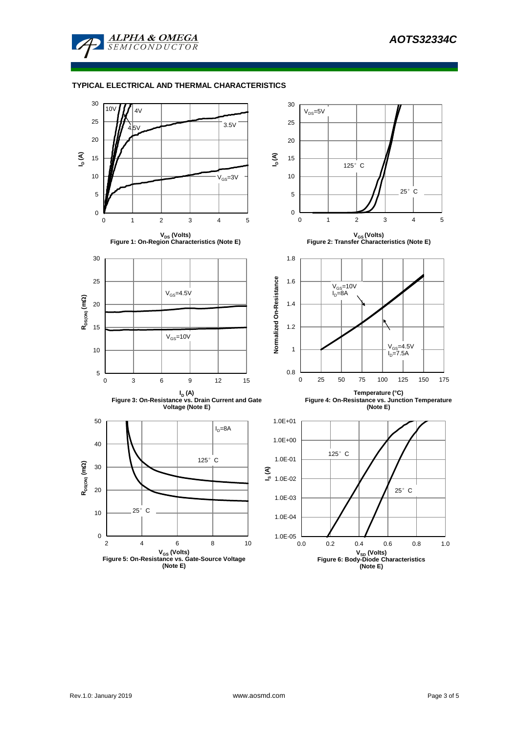

### **TYPICAL ELECTRICAL AND THERMAL CHARACTERISTICS**

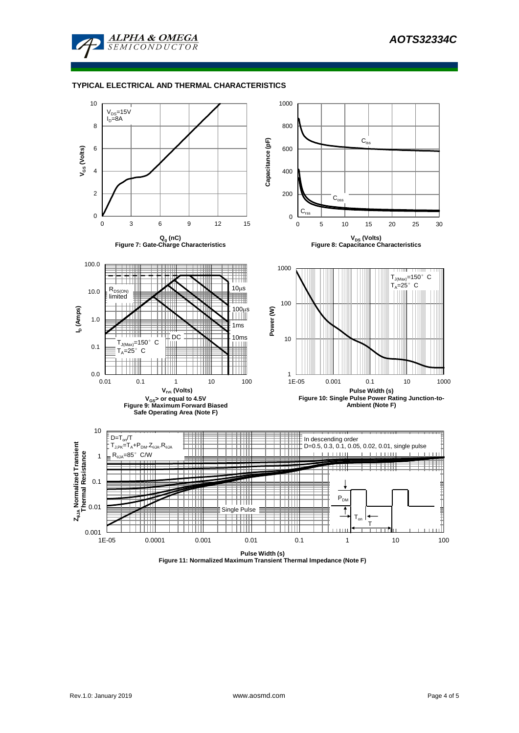

#### **TYPICAL ELECTRICAL AND THERMAL CHARACTERISTICS**